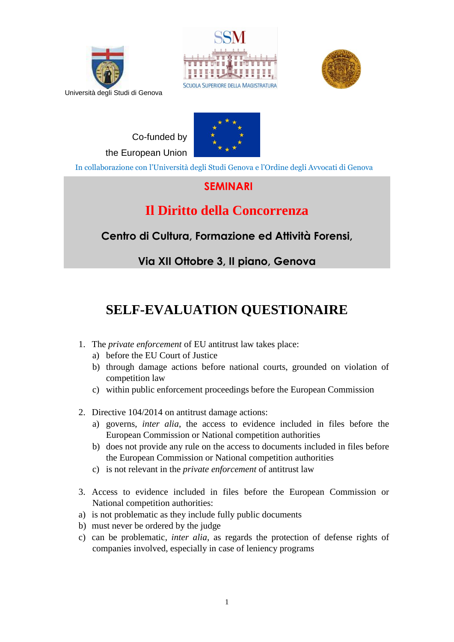





Co-funded by the European Union



In collaborazione con l'Università degli Studi Genova e l'Ordine degli Avvocati di Genova

## **SEMINARI**

## **Il Diritto della Concorrenza**

**Centro di Cultura, Formazione ed Attività Forensi,**

**Via XII Ottobre 3, II piano, Genova** 

## **SELF-EVALUATION QUESTIONAIRE**

- 1. The *private enforcement* of EU antitrust law takes place:
	- a) before the EU Court of Justice
	- b) through damage actions before national courts, grounded on violation of competition law
	- c) within public enforcement proceedings before the European Commission
- 2. Directive 104/2014 on antitrust damage actions:
	- a) governs, *inter alia*, the access to evidence included in files before the European Commission or National competition authorities
	- b) does not provide any rule on the access to documents included in files before the European Commission or National competition authorities
	- c) is not relevant in the *private enforcement* of antitrust law
- 3. Access to evidence included in files before the European Commission or National competition authorities:
- a) is not problematic as they include fully public documents
- b) must never be ordered by the judge
- c) can be problematic, *inter alia*, as regards the protection of defense rights of companies involved, especially in case of leniency programs